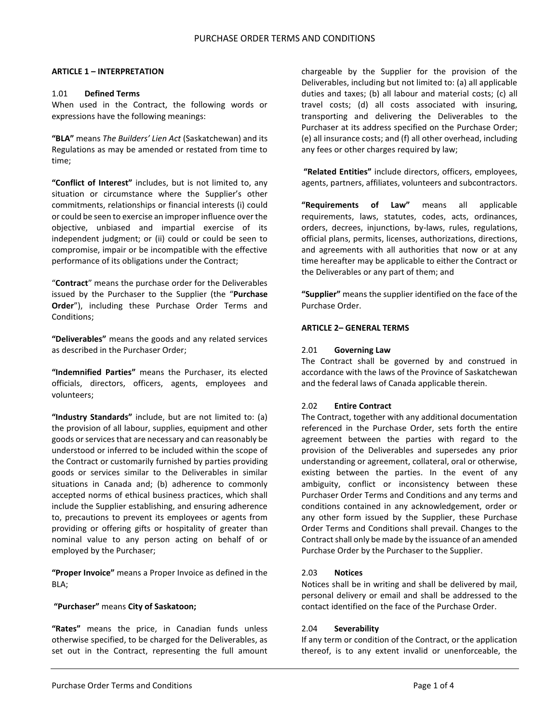### **ARTICLE 1 – INTERPRETATION**

#### 1.01 **Defined Terms**

When used in the Contract, the following words or expressions have the following meanings:

**"BLA"** means *The Builders' Lien Act* (Saskatchewan) and its Regulations as may be amended or restated from time to time;

**"Conflict of Interest"** includes, but is not limited to, any situation or circumstance where the Supplier's other commitments, relationships or financial interests (i) could or could be seen to exercise an improper influence over the objective, unbiased and impartial exercise of its independent judgment; or (ii) could or could be seen to compromise, impair or be incompatible with the effective performance of its obligations under the Contract;

"**Contract**" means the purchase order for the Deliverables issued by the Purchaser to the Supplier (the "**Purchase Order**"), including these Purchase Order Terms and Conditions;

**"Deliverables"** means the goods and any related services as described in the Purchaser Order;

**"Indemnified Parties"** means the Purchaser, its elected officials, directors, officers, agents, employees and volunteers;

**"Industry Standards"** include, but are not limited to: (a) the provision of all labour, supplies, equipment and other goods or services that are necessary and can reasonably be understood or inferred to be included within the scope of the Contract or customarily furnished by parties providing goods or services similar to the Deliverables in similar situations in Canada and; (b) adherence to commonly accepted norms of ethical business practices, which shall include the Supplier establishing, and ensuring adherence to, precautions to prevent its employees or agents from providing or offering gifts or hospitality of greater than nominal value to any person acting on behalf of or employed by the Purchaser;

**"Proper Invoice"** means a Proper Invoice as defined in the BLA;

#### **"Purchaser"** means **City of Saskatoon;**

**"Rates"** means the price, in Canadian funds unless otherwise specified, to be charged for the Deliverables, as set out in the Contract, representing the full amount chargeable by the Supplier for the provision of the Deliverables, including but not limited to: (a) all applicable duties and taxes; (b) all labour and material costs; (c) all travel costs; (d) all costs associated with insuring, transporting and delivering the Deliverables to the Purchaser at its address specified on the Purchase Order; (e) all insurance costs; and (f) all other overhead, including any fees or other charges required by law;

**"Related Entities"** include directors, officers, employees, agents, partners, affiliates, volunteers and subcontractors.

**"Requirements of Law"** means all applicable requirements, laws, statutes, codes, acts, ordinances, orders, decrees, injunctions, by-laws, rules, regulations, official plans, permits, licenses, authorizations, directions, and agreements with all authorities that now or at any time hereafter may be applicable to either the Contract or the Deliverables or any part of them; and

**"Supplier"** means the supplier identified on the face of the Purchase Order.

#### **ARTICLE 2– GENERAL TERMS**

#### 2.01 **Governing Law**

The Contract shall be governed by and construed in accordance with the laws of the Province of Saskatchewan and the federal laws of Canada applicable therein.

# 2.02 **Entire Contract**

The Contract, together with any additional documentation referenced in the Purchase Order, sets forth the entire agreement between the parties with regard to the provision of the Deliverables and supersedes any prior understanding or agreement, collateral, oral or otherwise, existing between the parties. In the event of any ambiguity, conflict or inconsistency between these Purchaser Order Terms and Conditions and any terms and conditions contained in any acknowledgement, order or any other form issued by the Supplier, these Purchase Order Terms and Conditions shall prevail. Changes to the Contract shall only be made by the issuance of an amended Purchase Order by the Purchaser to the Supplier.

# 2.03 **Notices**

Notices shall be in writing and shall be delivered by mail, personal delivery or email and shall be addressed to the contact identified on the face of the Purchase Order.

#### 2.04 **Severability**

If any term or condition of the Contract, or the application thereof, is to any extent invalid or unenforceable, the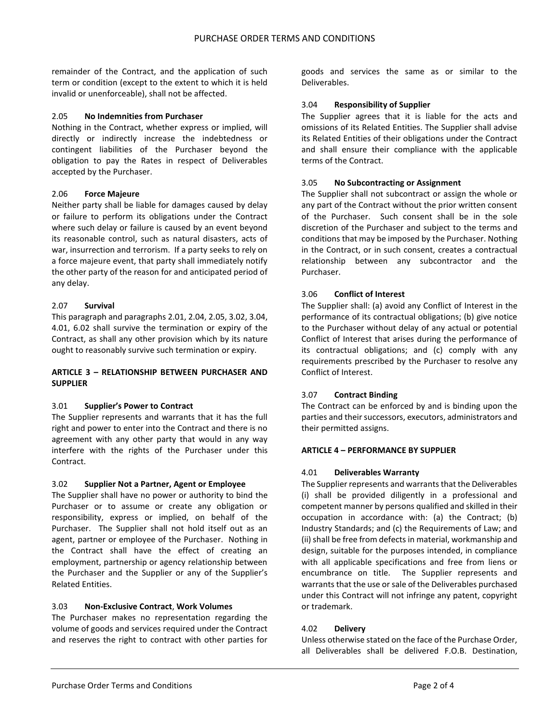remainder of the Contract, and the application of such term or condition (except to the extent to which it is held invalid or unenforceable), shall not be affected.

### 2.05 **No Indemnities from Purchaser**

Nothing in the Contract, whether express or implied, will directly or indirectly increase the indebtedness or contingent liabilities of the Purchaser beyond the obligation to pay the Rates in respect of Deliverables accepted by the Purchaser.

### 2.06 **Force Majeure**

Neither party shall be liable for damages caused by delay or failure to perform its obligations under the Contract where such delay or failure is caused by an event beyond its reasonable control, such as natural disasters, acts of war, insurrection and terrorism. If a party seeks to rely on a force majeure event, that party shall immediately notify the other party of the reason for and anticipated period of any delay.

### 2.07 **Survival**

This paragraph and paragraphs 2.01, 2.04, 2.05, 3.02, 3.04, 4.01, 6.02 shall survive the termination or expiry of the Contract, as shall any other provision which by its nature ought to reasonably survive such termination or expiry.

# **ARTICLE 3 – RELATIONSHIP BETWEEN PURCHASER AND SUPPLIER**

# 3.01 **Supplier's Power to Contract**

The Supplier represents and warrants that it has the full right and power to enter into the Contract and there is no agreement with any other party that would in any way interfere with the rights of the Purchaser under this Contract.

#### 3.02 **Supplier Not a Partner, Agent or Employee**

The Supplier shall have no power or authority to bind the Purchaser or to assume or create any obligation or responsibility, express or implied, on behalf of the Purchaser. The Supplier shall not hold itself out as an agent, partner or employee of the Purchaser. Nothing in the Contract shall have the effect of creating an employment, partnership or agency relationship between the Purchaser and the Supplier or any of the Supplier's Related Entities.

#### 3.03 **Non-Exclusive Contract**, **Work Volumes**

The Purchaser makes no representation regarding the volume of goods and services required under the Contract and reserves the right to contract with other parties for

goods and services the same as or similar to the Deliverables.

### 3.04 **Responsibility of Supplier**

The Supplier agrees that it is liable for the acts and omissions of its Related Entities. The Supplier shall advise its Related Entities of their obligations under the Contract and shall ensure their compliance with the applicable terms of the Contract.

### 3.05 **No Subcontracting or Assignment**

The Supplier shall not subcontract or assign the whole or any part of the Contract without the prior written consent of the Purchaser. Such consent shall be in the sole discretion of the Purchaser and subject to the terms and conditions that may be imposed by the Purchaser. Nothing in the Contract, or in such consent, creates a contractual relationship between any subcontractor and the Purchaser.

### 3.06 **Conflict of Interest**

The Supplier shall: (a) avoid any Conflict of Interest in the performance of its contractual obligations; (b) give notice to the Purchaser without delay of any actual or potential Conflict of Interest that arises during the performance of its contractual obligations; and (c) comply with any requirements prescribed by the Purchaser to resolve any Conflict of Interest.

# 3.07 **Contract Binding**

The Contract can be enforced by and is binding upon the parties and their successors, executors, administrators and their permitted assigns.

#### **ARTICLE 4 – PERFORMANCE BY SUPPLIER**

#### 4.01 **Deliverables Warranty**

The Supplier represents and warrants that the Deliverables (i) shall be provided diligently in a professional and competent manner by persons qualified and skilled in their occupation in accordance with: (a) the Contract; (b) Industry Standards; and (c) the Requirements of Law; and (ii) shall be free from defects in material, workmanship and design, suitable for the purposes intended, in compliance with all applicable specifications and free from liens or encumbrance on title. The Supplier represents and warrants that the use or sale of the Deliverables purchased under this Contract will not infringe any patent, copyright or trademark.

#### 4.02 **Delivery**

Unless otherwise stated on the face of the Purchase Order, all Deliverables shall be delivered F.O.B. Destination,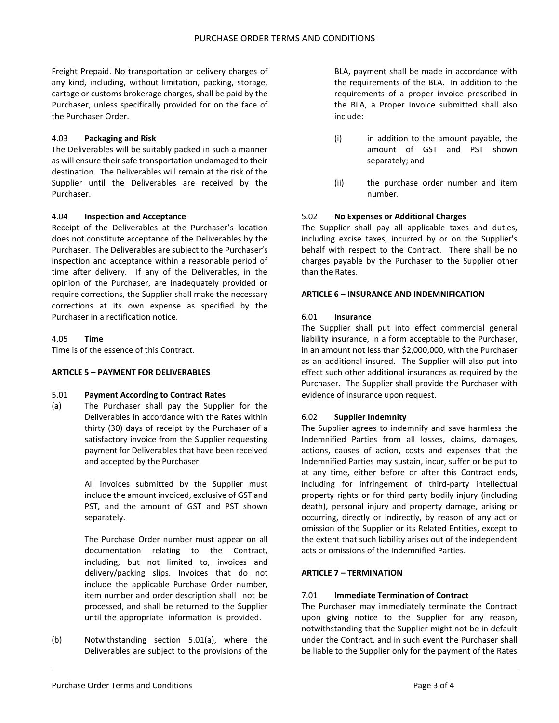Freight Prepaid. No transportation or delivery charges of any kind, including, without limitation, packing, storage, cartage or customs brokerage charges, shall be paid by the Purchaser, unless specifically provided for on the face of the Purchaser Order.

# 4.03 **Packaging and Risk**

The Deliverables will be suitably packed in such a manner as will ensure their safe transportation undamaged to their destination. The Deliverables will remain at the risk of the Supplier until the Deliverables are received by the Purchaser.

# 4.04 **Inspection and Acceptance**

Receipt of the Deliverables at the Purchaser's location does not constitute acceptance of the Deliverables by the Purchaser. The Deliverables are subject to the Purchaser's inspection and acceptance within a reasonable period of time after delivery. If any of the Deliverables, in the opinion of the Purchaser, are inadequately provided or require corrections, the Supplier shall make the necessary corrections at its own expense as specified by the Purchaser in a rectification notice.

# 4.05 **Time**

Time is of the essence of this Contract.

# **ARTICLE 5 – PAYMENT FOR DELIVERABLES**

# 5.01 **Payment According to Contract Rates**

(a) The Purchaser shall pay the Supplier for the Deliverables in accordance with the Rates within thirty (30) days of receipt by the Purchaser of a satisfactory invoice from the Supplier requesting payment for Deliverables that have been received and accepted by the Purchaser.

> All invoices submitted by the Supplier must include the amount invoiced, exclusive of GST and PST, and the amount of GST and PST shown separately.

> The Purchase Order number must appear on all documentation relating to the Contract, including, but not limited to, invoices and delivery/packing slips. Invoices that do not include the applicable Purchase Order number, item number and order description shall not be processed, and shall be returned to the Supplier until the appropriate information is provided.

(b) Notwithstanding section 5.01(a), where the Deliverables are subject to the provisions of the

BLA, payment shall be made in accordance with the requirements of the BLA. In addition to the requirements of a proper invoice prescribed in the BLA, a Proper Invoice submitted shall also include:

- (i) in addition to the amount payable, the amount of GST and PST shown separately; and
- (ii) the purchase order number and item number.

# 5.02 **No Expenses or Additional Charges**

The Supplier shall pay all applicable taxes and duties, including excise taxes, incurred by or on the Supplier's behalf with respect to the Contract. There shall be no charges payable by the Purchaser to the Supplier other than the Rates.

# **ARTICLE 6 – INSURANCE AND INDEMNIFICATION**

# 6.01 **Insurance**

The Supplier shall put into effect commercial general liability insurance, in a form acceptable to the Purchaser, in an amount not less than \$2,000,000, with the Purchaser as an additional insured. The Supplier will also put into effect such other additional insurances as required by the Purchaser. The Supplier shall provide the Purchaser with evidence of insurance upon request.

# 6.02 **Supplier Indemnity**

The Supplier agrees to indemnify and save harmless the Indemnified Parties from all losses, claims, damages, actions, causes of action, costs and expenses that the Indemnified Parties may sustain, incur, suffer or be put to at any time, either before or after this Contract ends, including for infringement of third-party intellectual property rights or for third party bodily injury (including death), personal injury and property damage, arising or occurring, directly or indirectly, by reason of any act or omission of the Supplier or its Related Entities, except to the extent that such liability arises out of the independent acts or omissions of the Indemnified Parties.

# **ARTICLE 7 – TERMINATION**

# 7.01 **Immediate Termination of Contract**

The Purchaser may immediately terminate the Contract upon giving notice to the Supplier for any reason, notwithstanding that the Supplier might not be in default under the Contract, and in such event the Purchaser shall be liable to the Supplier only for the payment of the Rates